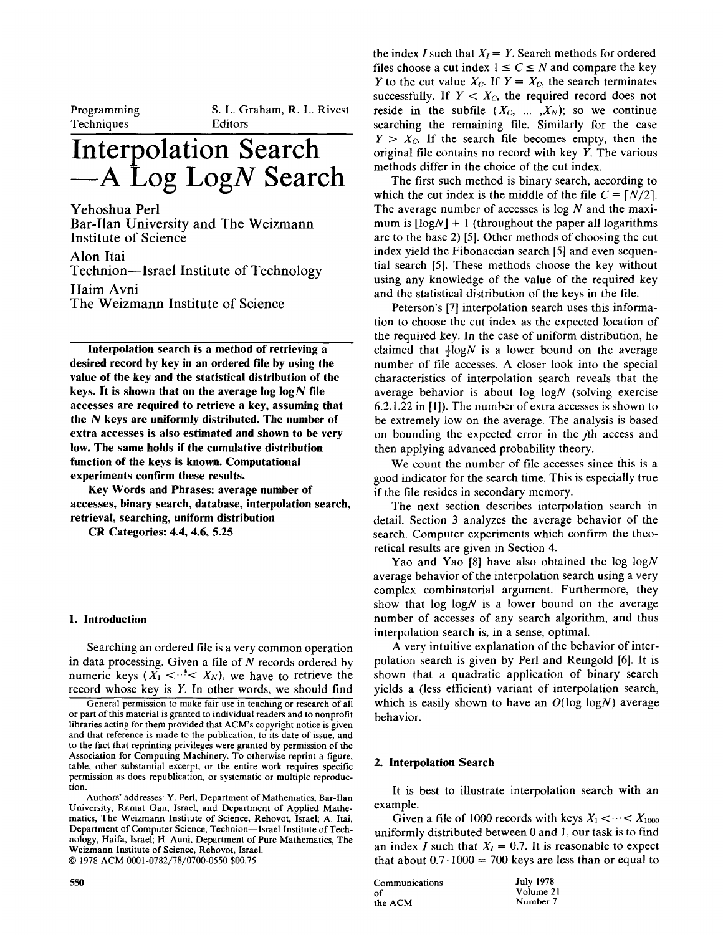| Programming |
|-------------|
|             |
| Techniques  |
|             |

 $\mathbf{S}$  . Let  $\mathbf{S}$  be the Rivest distribution of  $\mathbf{S}$  $\sum$ . L. U

# **Interpolation Search A Log LogN Search**

Yehoshua Perl  $B = \frac{1}{2}$  $\frac{1}{2}$  $\frac{1}{2}$ 

Institute of Science<br>Alon Itai Technion--Israel Institute of Technology Haim Avni

The Weizmann Institute of Science

**Interpolation search is a method of retrieving a**  designation search is a method of retrieving a desired record by key in an ordered file by using the value of the key and the statistical distribution of the **keys.** It is shown that on the average log  $log N$  file accesses are required to retrieve a key, assuming that the  $N$  keys are uniformly distributed. The number of extra accesses is also estimated and shown to be very low. The same holds if the cumulative distribution function of the keys is known. Computational experiments confirm these results.

Key Words and Phrases: average number of accesses, binary search, database, interpolation search, **CR Categories: 4.4, 4.6, 5.25** 

### **1. Introduction**

Searching an ordered file is a very common operation searching an ordered the is a very common operation in data processing. Given a file of N records ordered by numeric keys  $(X_1 \leq \cdots \leq X_N)$ , we have to retrieve the record whose key is  $Y$ . In other words, we should find

General permission to make fair use in teaching or research of all or part of this material is granted to individual readers and to nonprofit libraries acting for them provided that ACM's copyright notice is given and that reference is made to the publication, to its date of issue, and to the fact that reprinting privileges were granted by permission of the Association for Computing Machinery. To otherwise reprint a figure, table, other substantial excerpt, or the entire work requires specific permission as does republication, or systematic or multiple reproduc-Authors' addresses: Y. Perl, Department of Mathematics, Bar-Ilan

Authors' addresses: Y. Perl, Department of Mathematics, Bar-Ilar University, Ramat Gan, Israel, and Department of Applied Mathematics, The Weizmann Institute of Science, Rehovot, Israel; A. Itai, Department of Computer Science, Technion-Israel Institute of Technology, Haifa, Israel; H. Auni, Department of Pure Mathematics, The Weizmann Institute of Science, Rehovot, Israel.<br>© 1978 ACM 0001-0782/78/0700-0550 \$00.75

the index I such that *X1 = Y.* Search methods for ordered file index 1 such that  $\Delta t = 1$ . Search inethous for order eq. files choose a cut index  $1 \le C \le N$  and compare the key Y to the cut value  $X_c$ . If  $Y = X_c$ , the search terminates successfully. If  $Y < X_c$ , the required record does not reside in the subfile  $(X_c, ..., X_N)$ ; so we continue searching the remaining file. Similarly for the case  $Y > X_c$ . If the search file becomes empty, then the original file contains no record with key  $Y$ . The various methods differ in the choice of the cut index.

The first such method is binary search, according to which the cut index is the middle of the file  $C = \lfloor N/2 \rfloor$ . The average number of accesses is log  $N$  and the maximum is  $\lfloor log N \rfloor + 1$  (throughout the paper all logarithms are to the base 2) [5]. Other methods of choosing the cut index yield the Fibonaccian search [5] and even sequential search [5]. These methods choose the key without using any knowledge of the value of the required key and the statistical distribution of the keys in the file.

Peterson's [7] interpolation search uses this information to choose the cut index as the expected location of the required key. In the case of uniform distribution, he claimed that  $\frac{1}{2} \log N$  is a lower bound on the average number of file accesses. A closer look into the special characteristics of interpolation search reveals that the average behavior is about  $log log N$  (solving exercise  $6.2.1.22$  in [1]). The number of extra accesses is shown to be extremely low on the average. The analysis is based on bounding the expected error in the *j*th access and then applying advanced probability theory.

We count the number of file accesses since this is a good indicator for the search time. This is especially true if the file resides in secondary memory.

The next section describes interpolation search in detail. Section 3 analyzes the average behavior of the search. Computer experiments which confirm the theoretical results are given in Section 4.

Yao and Yao [8] have also obtained the log  $log N$ average behavior of the interpolation search using a very complex combinatorial argument. Furthermore, they show that  $log \log N$  is a lower bound on the average number of accesses of any search algorithm, and thus interpolation search is, in a sense, optimal.

A very intuitive explanation of the behavior of interpolation search is given by Perl and Reingold [6]. It is shown that a quadratic application of binary search yields a (less efficient) variant of interpolation search, which is easily shown to have an  $O(\log \log N)$  average behavior.

It is best to illustrate interpolation search with an  $\mathbf{u}$  is  $\Box$ 

Given a life of 1000 records with keys  $\lambda_1 \leq \cdots \leq \lambda_{1000}$ uniformly distributed between 0 and 1, our task is to find an index *I* such that  $X_I = 0.7$ . It is reasonable to expect that about  $0.7 \cdot 1000 = 700$  keys are less than or equal to

| Communications | <b>July 1978</b> |
|----------------|------------------|
| ഫി             | Volume 21        |
| the ACM        | Number 7         |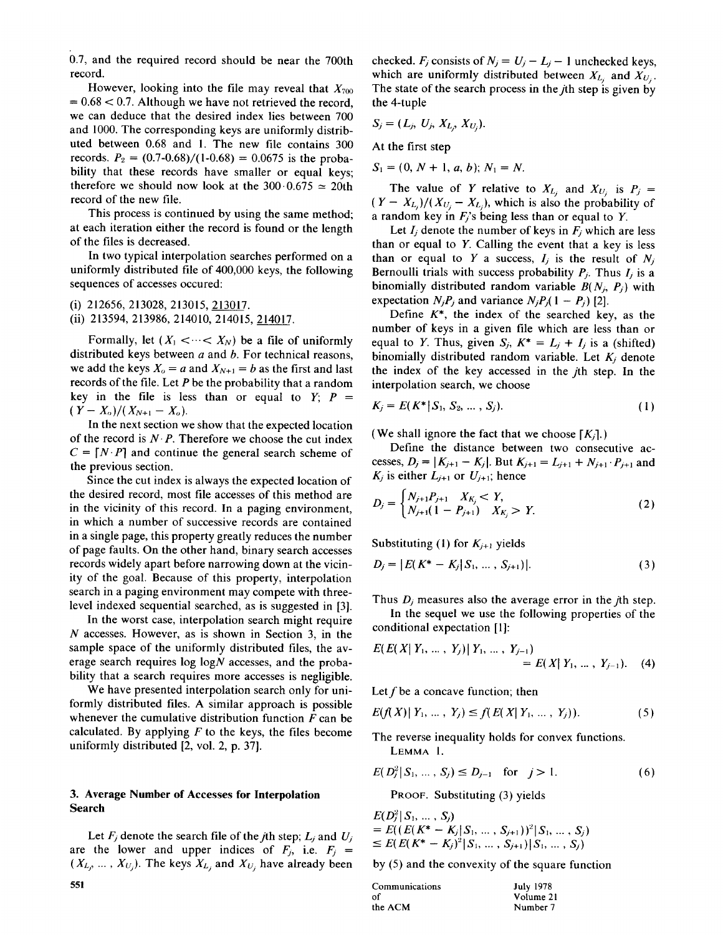$\mathcal{L}^{\mathcal{P}}(0,0)$  and the required record should be near the 700th should be near the 700th should be near the 700th should be near the 700th should be near the 700th should be near the 700th should be near the 700th s  $0.7$ , and  $H$ ord, looking into the file may reveal that  $H$ 

However, looking into the file may reveal that  $X_{700}$  $\epsilon$  = 0.68 < 0.7. Although we have not retrieved the record, we can deduce that the desired index lies between 700 and 1000. The corresponding keys are uniformly distributed between 0.68 and 1. The new file contains 300 records.  $P_2 = (0.7 - 0.68)/(1 - 0.68) = 0.0675$  is the probability that these records have smaller or equal keys; therefore we should now look at the  $300 \cdot 0.675 \approx 20$ th record of the new file.

This process is continued by using the same method; at each iteration either the record is found or the length of the files is decreased.

In two typical interpolation searches performed on a uniformly distributed file of 400,000 keys, the following  $\mathbf{1}$ 

(i) 212656, 213028, 213015, 213017.

Formally, let (X~ <-..< *XN)* be a file of uniformly

Formally, let  $(X_1 \leq \cdots \leq X_N)$  be a file of uniformly distributed keys between *a* and *b*. For technical reasons, we add the keys  $X_0 = a$  and  $X_{N+1} = b$  as the first and last records of the file. Let  $P$  be the probability that a random key in the file is less than or equal to  $Y$ ;  $P =$  $(Y - X_o)/(X_{N+1} - X_o).$ 

In the next section we show that the expected location of the record is  $N \cdot P$ . Therefore we choose the cut index  $C = [N \cdot P]$  and continue the general search scheme of the previous section.

Since the cut index is always the expected location of the desired record, most file accesses of this method are in the vicinity of this record. In a paging environment, in which a number of successive records are contained in a single page, this property greatly reduces the number of page faults. On the other hand, binary search accesses records widely apart before narrowing down at the vicinity of the goal. Because of this property, interpolation search in a paging environment may compete with threelevel indexed sequential searched, as is suggested in  $[3]$ .

In the worst case, interpolation search might require  $N$  accesses. However, as is shown in Section 3, in the sample space of the uniformly distributed files, the average search requires  $log N$  accesses, and the probability that a search requires more accesses is negligible.

We have presented interpolation search only for uniformly distributed files. A similar approach is possible whenever the cumulative distribution function  $F$  can be calculated. By applying  $F$  to the keys, the files become uniformly distributed [2, vol. 2, p. 37].

## **3. Average Number of Accesses for Interpolation Search**

Let  $F_j$  denote the search file of the *j*th step;  $L_j$  and  $U_j$ . are the lower and upper indices of  $F_j$ , i.e.  $F_j$  =  $(X_{L_j}, \ldots, X_{U_j})$ . The keys  $X_{L_j}$  and  $X_{U_j}$  have already been checked.  $F_j$  consists of  $N_j = U_j - L_j - 1$  unchecked keys, which are uniformly distributed between  $X_{L_i}$  and  $X_{U_i}$ . The state of the search process in the *j*th step is given by *S~ = ( L2, Uj, XLj, X%).* 

$$
S_j=(L_j, U_j, X_{L_i}, X_{U_i}).
$$

 $\mathbf{S}$  and  $\mathbf{S}$  is a large support of  $\mathbf{S}$ 

 $S_1 = (0, N + 1, a, b); N_1 = N.$ 

The value of Y relative to  $X_{L_j}$  and  $X_{U_j}$  is  $P_j =$  $(Y - X_{L_i})/(X_{U_i} - X_{L_i})$ , which is also the probability of a random key in  $F_j$ 's being less than or equal to Y.

Let  $I_i$  denote the number of keys in  $F_i$  which are less than or equal to *Y*. Calling the event that a key is less than or equal to Y a success,  $I_j$  is the result of  $N_j$ . Bernoulli trials with success probability  $P_j$ . Thus  $I_j$  is a binomially distributed random variable  $B(N_i, P_i)$  with expectation  $N_i P_i$  and variance  $N_i P_i (1 - P_i)$  [2].

Define  $K^*$ , the index of the searched key, as the number of keys in a given file which are less than or equal to Y. Thus, given  $S_j$ ,  $K^* = L_j + I_j$  is a (shifted) binomially distributed random variable. Let  $K_i$  denote the index of the key accessed in the *j*th step. In the **K2** 

$$
K_j = E(K^* | S_1, S_2, \dots, S_j). \tag{1}
$$

(We shall ignore the fact that we choose  $[K_i]$ .)

Define the distance between two consecutive accesses,  $D_j = |K_{j+1} - K_j|$ . But  $K_{j+1} = L_{j+1} + N_{j+1} \cdot P_{j+1}$  and  $K_j$  is either  $L_{j+1}$  or  $U_{j+1}$ ; hence

$$
D_j = \begin{cases} N_{j+1}P_{j+1} & X_{K_j} < Y, \\ N_{j+1}(1 - P_{j+1}) & X_{K_j} > Y. \end{cases}
$$
 (2)

Substituting (1) for  $K_{j+1}$  yields

$$
D_j = |E(K^* - K_j|S_1, \dots, S_{j+1})|.
$$
 (3)

Thus  $D_i$  measures also the average error in the *j*th step.

In the sequel we use the following properties of the conditional expectation [1]:

$$
E(E(X|Y_1, ..., Y_j)|Y_1, ..., Y_{j-1})
$$
  
=  $E(X|Y_1, ..., Y_{j-1}).$  (4)

Let f be a concave function; then  $\mathcal{L}(\mathcal{L})$  .  $\mathcal{L}(\mathcal{L})$  .  $\mathcal{L}(\mathcal{L})$  .  $\mathcal{L}(\mathcal{L})$  .  $\mathcal{L}(\mathcal{L})$  .  $\mathcal{L}(\mathcal{L})$  .  $\mathcal{L}(\mathcal{L})$  .  $\mathcal{L}(\mathcal{L})$  .  $\mathcal{L}(\mathcal{L})$  .  $\mathcal{L}(\mathcal{L})$  .  $\mathcal{L}(\mathcal{L})$  .  $\mathcal{L}(\mathcal{L})$  .  $\mathcal{L}(\mathcal{L})$  .

$$
E(f(X) | Y_1, \ldots, Y_j) \le f(E(X | Y_1, \ldots, Y_j)). \tag{5}
$$

The reverse inequality holds for convex functions. *E(D][S1 ..... \$2) <- Dj\_I* for j> 1.

$$
E(D_j^2|S_1,\ldots,S_j) \le D_{j-1} \quad \text{for} \quad j > 1. \tag{6}
$$

**PROOF.** Substituting (3) yields

$$
E(D_j^2 | S_1, ..., S_j)
$$
  
=  $E((E(K^* - K_j | S_1, ..., S_{j+1}))^2 | S_1, ..., S_j)$   
 $\le E(E(K^* - K_j)^2 | S_1, ..., S_{j+1}) | S_1, ..., S_j)$ 

by (5) and the convexity of the square function Communications July 1978 and 1978 and 1978 and 1978 and 1978 and 1978 and 1978 and 1978 and 1978 and 1978 and

| Communications | <b>July 1978</b> |
|----------------|------------------|
| Ωf             | Volume 21        |
| the ACM        | Number 7         |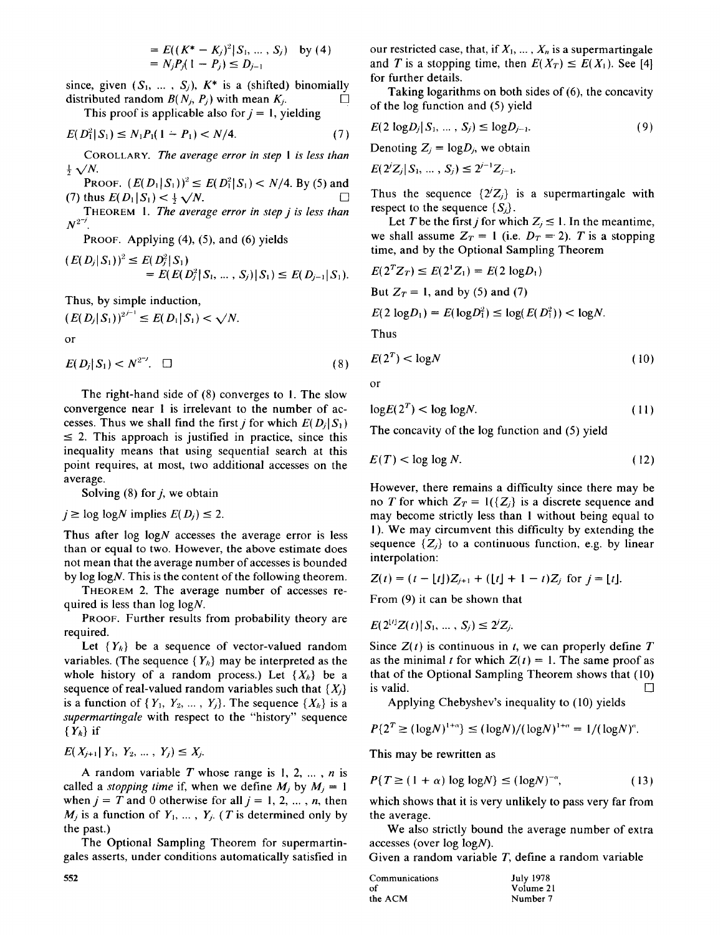$$
= E((K^* - K_j)^2 | S_1, ..., S_j) \text{ by (4)}
$$
  
=  $N_j P_j (1 - P_j) \le D_{j-1}$ 

since, given  $(S_1, ..., S_i)$ ,  $K^*$  is a (shifted) binomially distributed random  $B(N_j, P_j)$  with mean  $K_j$ .

This proof is applicable also for  $j = 1$ , yielding

$$
E(D_1^2|S_1) \le N_1P_1(1-P_1) < N/4. \tag{7}
$$

COROLLARY. *The average error in step 1 is less than*   $\frac{1}{2}$   $\sqrt{N}$ .

PROOF.  $(E(D_1|S_1))^2 \leq E(D_1^2|S_1) < N/4$ . By (5) and (7) thus  $E(D_1 | S_1) < \frac{1}{2} \sqrt{N}$ .

THEOREM 1. *The average error in step j is less than*   $N^{2^{-j}}$ 

PROOF. Applying (4), (5), and (6) yields

$$
(E(D_j|S_1))^2 \le E(D_j^2|S_1) = E(E(D_j^2|S_1,\ldots,S_j)|S_1) \le E(D_{j-1}|S_1).
$$

Thus, by simple induction,

 $(E(D_j|S_1))^{2^{j-1}} \leq E(D_1|S_1) < \sqrt{N}.$ or  $E(D_j|S_1) < N^{2^{-j}}$ .  $\Box$  (8)

The right-hand side of (8) converges to 1. The slow convergence near 1 is irrelevant to the number of accesses. Thus we shall find the first *j* for which  $E(D_i|S_1)$  $\leq$  2. This approach is justified in practice, since this inequality means that using sequential search at this point requires, at most, two additional accesses on the average.

Solving  $(8)$  for *j*, we obtain

 $j \geq \log \log N$  implies  $E(D_i) \leq 2$ .

Thus after  $log \log N$  accesses the average error is less than or equal to two. However, the above estimate does not mean that the average number of accesses is bounded by  $log log N$ . This is the content of the following theorem.

THEOREM 2. The average number of accesses required is less than log logN.

PROOF. Further results from probability theory are required.

Let  ${Y_k}$  be a sequence of vector-valued random variables. (The sequence  ${Y_k}$  may be interpreted as the whole history of a random process.) Let  $\{X_k\}$  be a sequence of real-valued random variables such that  $\{X_i\}$ is a function of  $\{Y_1, Y_2, ..., Y_i\}$ . The sequence  $\{X_k\}$  is a *supermartingale* with respect to the "history" sequence  ${Y_k}$  if

$$
E(X_{j+1} | Y_1, Y_2, \ldots, Y_j) \leq X_j.
$$

A random variable  $T$  whose range is 1, 2, ...,  $n$  is called a *stopping time* if, when we define  $M_j$  by  $M_j = 1$ when  $j = T$  and 0 otherwise for all  $j = 1, 2, ..., n$ , then  $M_j$  is a function of  $Y_1, \ldots, Y_j$ . (*T* is determined only by the past.)

The Optional Sampling Theorem for supermartingales asserts, under conditions automatically satisfied in our restricted case, that, if  $X_1, \ldots, X_n$  is a supermartingale and T is a stopping time, then  $E(X_T) \le E(X_1)$ . See [4] for further details.

Taking logarithms on both sides of (6), the concavity of the log function and (5) yield

$$
E(2 \log D_j | S_1, ..., S_j) \leq \log D_{j-1}.
$$
 (9)

Denoting  $Z_j = log D_j$ , we obtain

 $E(2^j Z_j | S_1, \ldots, S_j) \leq 2^{j-1} Z_{j-1}.$ 

Thus the sequence  $\{2^iZ_j\}$  is a supermartingale with respect to the sequence  $\{S_i\}$ .

Let T be the first *j* for which  $Z_j \le 1$ . In the meantime, we shall assume  $Z_T = 1$  (i.e.  $D_T = 2$ ). T is a stopping time, and by the Optional Sampling Theorem

$$
E(2TZT) \le E(21Z1) = E(2 log D1)
$$
  
But  $ZT = 1$ , and by (5) and (7)  

$$
E(2 log D1) = E(log D12) \le log(E(D12)) < log N.
$$
  
Thus

$$
E(2^T) < \log N \tag{10}
$$

or

$$
\log E(2^T) < \log \log N. \tag{11}
$$

The concavity of the log function and (5) yield

$$
E(T) < \log \log N. \tag{12}
$$

However, there remains a difficulty since there may be no T for which  $Z_T = 1({Z_i})$  is a discrete sequence and may become strictly less than 1 without being equal to 1 ). We may circumvent this difficulty by extending the sequence  $\{Z_i\}$  to a continuous function, e.g. by linear interpolation:

$$
Z(t) = (t - \lfloor t \rfloor) Z_{j+1} + (\lfloor t \rfloor + 1 - t) Z_j \text{ for } j = \lfloor t \rfloor.
$$

From (9) it can be shown that

$$
E(2^{[t]}Z(t)|S_1,\,...\,,S_j) \leq 2^jZ_j.
$$

Since  $Z(t)$  is continuous in t, we can properly define T as the minimal t for which  $Z(t) = 1$ . The same proof as  $t_{\text{tot}}$  of the Optional Sampling Theorem shows that  $(10)$  $\overline{a}$  is valid.  $\overline{a}$ is valid.<br>Applying Chebyshev's inequality to (10) yields

$$
P\{2^T \geq (\log N)^{1+\alpha}\} \leq (\log N)/(\log N)^{1+\alpha} = 1/(\log N)^{\alpha}.
$$

This may be rewritten as

$$
P\{T \ge (1+\alpha) \log \log N\} \le (\log N)^{-\alpha},\tag{13}
$$

which shows that it is very unlikely to pass very far from the average.

We also strictly bound the average number of extra accesses (over log logN).

Given a random variable T, define a random variable

| Communications | <b>July 1978</b> |
|----------------|------------------|
| эf             | Volume 21        |
| he ACM         | Number 7         |

**552**